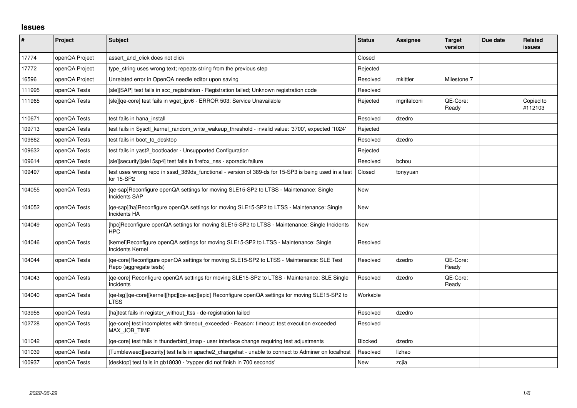## **Issues**

| $\sharp$ | Project        | <b>Subject</b>                                                                                                      | <b>Status</b> | <b>Assignee</b> | <b>Target</b><br>version | Due date | Related<br><b>issues</b> |
|----------|----------------|---------------------------------------------------------------------------------------------------------------------|---------------|-----------------|--------------------------|----------|--------------------------|
| 17774    | openQA Project | assert and click does not click                                                                                     | Closed        |                 |                          |          |                          |
| 17772    | openQA Project | type string uses wrong text; repeats string from the previous step                                                  | Rejected      |                 |                          |          |                          |
| 16596    | openQA Project | Unrelated error in OpenQA needle editor upon saving                                                                 | Resolved      | mkittler        | Milestone 7              |          |                          |
| 111995   | openQA Tests   | [sle][SAP] test fails in scc_registration - Registration failed; Unknown registration code                          | Resolved      |                 |                          |          |                          |
| 111965   | openQA Tests   | [sle][qe-core] test fails in wget_ipv6 - ERROR 503: Service Unavailable                                             | Rejected      | mgrifalconi     | QE-Core:<br>Ready        |          | Copied to<br>#112103     |
| 110671   | openQA Tests   | test fails in hana install                                                                                          | Resolved      | dzedro          |                          |          |                          |
| 109713   | openQA Tests   | 'test fails in Sysctl kernel random write wakeup threshold - invalid value: '3700', expected '1024                  | Rejected      |                 |                          |          |                          |
| 109662   | openQA Tests   | test fails in boot to desktop                                                                                       | Resolved      | dzedro          |                          |          |                          |
| 109632   | openQA Tests   | test fails in yast2_bootloader - Unsupported Configuration                                                          | Rejected      |                 |                          |          |                          |
| 109614   | openQA Tests   | [sle][security][sle15sp4] test fails in firefox_nss - sporadic failure                                              | Resolved      | bchou           |                          |          |                          |
| 109497   | openQA Tests   | test uses wrong repo in sssd_389ds_functional - version of 389-ds for 15-SP3 is being used in a test<br>for 15-SP2  | Closed        | tonyyuan        |                          |          |                          |
| 104055   | openQA Tests   | [qe-sap]Reconfigure openQA settings for moving SLE15-SP2 to LTSS - Maintenance: Single<br><b>Incidents SAP</b>      | <b>New</b>    |                 |                          |          |                          |
| 104052   | openQA Tests   | [qe-sap][ha]Reconfigure openQA settings for moving SLE15-SP2 to LTSS - Maintenance: Single<br>Incidents HA          | New           |                 |                          |          |                          |
| 104049   | openQA Tests   | [hpc]Reconfigure openQA settings for moving SLE15-SP2 to LTSS - Maintenance: Single Incidents<br><b>HPC</b>         | <b>New</b>    |                 |                          |          |                          |
| 104046   | openQA Tests   | [kernel]Reconfigure openQA settings for moving SLE15-SP2 to LTSS - Maintenance: Single<br><b>Incidents Kernel</b>   | Resolved      |                 |                          |          |                          |
| 104044   | openQA Tests   | [qe-core]Reconfigure openQA settings for moving SLE15-SP2 to LTSS - Maintenance: SLE Test<br>Repo (aggregate tests) | Resolved      | dzedro          | QE-Core:<br>Ready        |          |                          |
| 104043   | openQA Tests   | [qe-core] Reconfigure openQA settings for moving SLE15-SP2 to LTSS - Maintenance: SLE Single<br>Incidents           | Resolved      | dzedro          | QE-Core:<br>Ready        |          |                          |
| 104040   | openQA Tests   | [qe-lsg][qe-core][kernel][hpc][qe-sap][epic] Reconfigure openQA settings for moving SLE15-SP2 to<br><b>LTSS</b>     | Workable      |                 |                          |          |                          |
| 103956   | openQA Tests   | [ha]test fails in register_without_ltss - de-registration failed                                                    | Resolved      | dzedro          |                          |          |                          |
| 102728   | openQA Tests   | [qe-core] test incompletes with timeout_exceeded - Reason: timeout: test execution exceeded<br>MAX JOB TIME         | Resolved      |                 |                          |          |                          |
| 101042   | openQA Tests   | [qe-core] test fails in thunderbird_imap - user interface change requiring test adjustments                         | Blocked       | dzedro          |                          |          |                          |
| 101039   | openQA Tests   | [Tumbleweed][security] test fails in apache2_changehat - unable to connect to Adminer on localhost                  | Resolved      | llzhao          |                          |          |                          |
| 100937   | openQA Tests   | [desktop] test fails in gb18030 - 'zypper did not finish in 700 seconds'                                            | <b>New</b>    | zcjia           |                          |          |                          |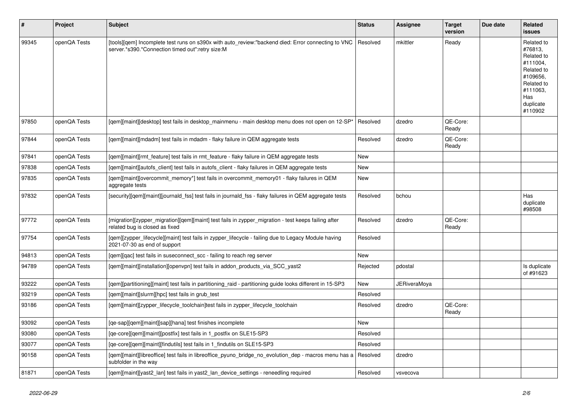| $\pmb{\sharp}$ | <b>Project</b> | <b>Subject</b>                                                                                                                                         | <b>Status</b> | Assignee     | Target<br>version | Due date | <b>Related</b><br><b>issues</b>                                                                                                    |
|----------------|----------------|--------------------------------------------------------------------------------------------------------------------------------------------------------|---------------|--------------|-------------------|----------|------------------------------------------------------------------------------------------------------------------------------------|
| 99345          | openQA Tests   | [tools][qem] Incomplete test runs on s390x with auto_review:"backend died: Error connecting to VNC<br>server.*s390.*Connection timed out":retry size:M | Resolved      | mkittler     | Ready             |          | Related to<br>#76813,<br>Related to<br>#111004.<br>Related to<br>#109656,<br>Related to<br>#111063.<br>Has<br>duplicate<br>#110902 |
| 97850          | openQA Tests   | [gem][maint][desktop] test fails in desktop_mainmenu - main desktop menu does not open on 12-SP*                                                       | Resolved      | dzedro       | QE-Core:<br>Ready |          |                                                                                                                                    |
| 97844          | openQA Tests   | [gem][maint][mdadm] test fails in mdadm - flaky failure in QEM aggregate tests                                                                         | Resolved      | dzedro       | QE-Core:<br>Ready |          |                                                                                                                                    |
| 97841          | openQA Tests   | [gem][maint][rmt feature] test fails in rmt feature - flaky failure in QEM aggregate tests                                                             | <b>New</b>    |              |                   |          |                                                                                                                                    |
| 97838          | openQA Tests   | [qem][maint][autofs_client] test fails in autofs_client - flaky failures in QEM aggregate tests                                                        | <b>New</b>    |              |                   |          |                                                                                                                                    |
| 97835          | openQA Tests   | [gem][maint][overcommit_memory*] test fails in overcommit_memory01 - flaky failures in QEM<br>aggregate tests                                          | <b>New</b>    |              |                   |          |                                                                                                                                    |
| 97832          | openQA Tests   | [security][qem][maint][journald_fss] test fails in journald_fss - flaky failures in QEM aggregate tests                                                | Resolved      | bchou        |                   |          | Has<br>duplicate<br>#98508                                                                                                         |
| 97772          | openQA Tests   | [migration][zypper_migration][qem][maint] test fails in zypper_migration - test keeps failing after<br>related bug is closed as fixed                  | Resolved      | dzedro       | QE-Core:<br>Ready |          |                                                                                                                                    |
| 97754          | openQA Tests   | [gem][zypper lifecycle][maint] test fails in zypper lifecycle - failing due to Legacy Module having<br>2021-07-30 as end of support                    | Resolved      |              |                   |          |                                                                                                                                    |
| 94813          | openQA Tests   | [gem][gac] test fails in suseconnect scc - failing to reach reg server                                                                                 | <b>New</b>    |              |                   |          |                                                                                                                                    |
| 94789          | openQA Tests   | [qem][maint][installation][openvpn] test fails in addon_products_via_SCC_yast2                                                                         | Rejected      | pdostal      |                   |          | Is duplicate<br>of #91623                                                                                                          |
| 93222          | openQA Tests   | [gem][partitioning][maint] test fails in partitioning raid - partitioning guide looks different in 15-SP3                                              | New           | JERiveraMova |                   |          |                                                                                                                                    |
| 93219          | openQA Tests   | [gem][maint][slurm][hpc] test fails in grub test                                                                                                       | Resolved      |              |                   |          |                                                                                                                                    |
| 93186          | openQA Tests   | [gem][maint][zypper_lifecycle_toolchain]test fails in zypper_lifecycle_toolchain                                                                       | Resolved      | dzedro       | QE-Core:<br>Ready |          |                                                                                                                                    |
| 93092          | openQA Tests   | [ge-sap][gem][maint][sap][hana] test finishes incomplete                                                                                               | <b>New</b>    |              |                   |          |                                                                                                                                    |
| 93080          | openQA Tests   | [qe-core][qem][maint][postfix] test fails in 1_postfix on SLE15-SP3                                                                                    | Resolved      |              |                   |          |                                                                                                                                    |
| 93077          | openQA Tests   | [qe-core][qem][maint][findutils] test fails in 1_findutils on SLE15-SP3                                                                                | Resolved      |              |                   |          |                                                                                                                                    |
| 90158          | openQA Tests   | [qem][maint][libreoffice] test fails in libreoffice_pyuno_bridge_no_evolution_dep - macros menu has a<br>subfolder in the way                          | Resolved      | dzedro       |                   |          |                                                                                                                                    |
| 81871          | openQA Tests   | [gem][maint][yast2_lan] test fails in yast2_lan_device_settings - reneedling required                                                                  | Resolved      | vsvecova     |                   |          |                                                                                                                                    |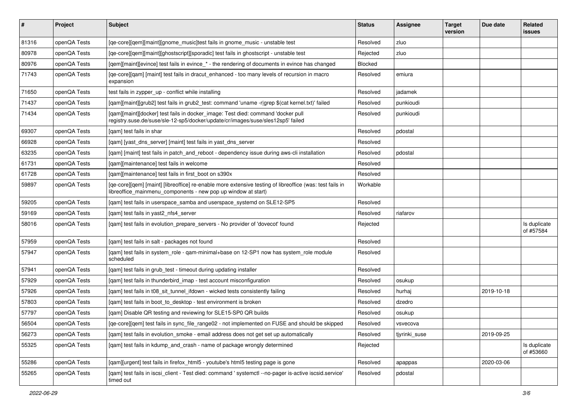| #     | Project      | Subject                                                                                                                                                                   | <b>Status</b> | Assignee      | <b>Target</b><br>version | Due date   | Related<br>issues         |
|-------|--------------|---------------------------------------------------------------------------------------------------------------------------------------------------------------------------|---------------|---------------|--------------------------|------------|---------------------------|
| 81316 | openQA Tests | [qe-core][qem][maint][gnome_music]test fails in gnome_music - unstable test                                                                                               | Resolved      | zluo          |                          |            |                           |
| 80978 | openQA Tests | [ge-core][gem][maint][ghostscript][sporadic] test fails in ghostscript - unstable test                                                                                    | Rejected      | zluo          |                          |            |                           |
| 80976 | openQA Tests | [qem][maint][evince] test fails in evince_* - the rendering of documents in evince has changed                                                                            | Blocked       |               |                          |            |                           |
| 71743 | openQA Tests | [qe-core][qam] [maint] test fails in dracut_enhanced - too many levels of recursion in macro<br>expansion                                                                 | Resolved      | emiura        |                          |            |                           |
| 71650 | openQA Tests | test fails in zypper_up - conflict while installing                                                                                                                       | Resolved      | jadamek       |                          |            |                           |
| 71437 | openQA Tests | [gam][maint][grub2] test fails in grub2 test: command 'uname -r grep \$(cat kernel.txt)' failed                                                                           | Resolved      | punkioudi     |                          |            |                           |
| 71434 | openQA Tests | [qam][maint][docker] test fails in docker_image: Test died: command 'docker pull<br>registry.suse.de/suse/sle-12-sp5/docker/update/cr/images/suse/sles12sp5' failed       | Resolved      | punkioudi     |                          |            |                           |
| 69307 | openQA Tests | [gam] test fails in shar                                                                                                                                                  | Resolved      | pdostal       |                          |            |                           |
| 66928 | openQA Tests | [qam] [yast_dns_server] [maint] test fails in yast_dns_server                                                                                                             | Resolved      |               |                          |            |                           |
| 63235 | openQA Tests | [gam] [maint] test fails in patch_and_reboot - dependency issue during aws-cli installation                                                                               | Resolved      | pdostal       |                          |            |                           |
| 61731 | openQA Tests | [gam][maintenance] test fails in welcome                                                                                                                                  | Resolved      |               |                          |            |                           |
| 61728 | openQA Tests | [qam][maintenance] test fails in first_boot on s390x                                                                                                                      | Resolved      |               |                          |            |                           |
| 59897 | openQA Tests | [qe-core][qem] [maint] [libreoffice] re-enable more extensive testing of libreoffice (was: test fails in<br>libreoffice_mainmenu_components - new pop up window at start) | Workable      |               |                          |            |                           |
| 59205 | openQA Tests | [qam] test fails in userspace_samba and userspace_systemd on SLE12-SP5                                                                                                    | Resolved      |               |                          |            |                           |
| 59169 | openQA Tests | [gam] test fails in yast2 nfs4 server                                                                                                                                     | Resolved      | riafarov      |                          |            |                           |
| 58016 | openQA Tests | [qam] test fails in evolution_prepare_servers - No provider of 'dovecot' found                                                                                            | Rejected      |               |                          |            | Is duplicate<br>of #57584 |
| 57959 | openQA Tests | [gam] test fails in salt - packages not found                                                                                                                             | Resolved      |               |                          |            |                           |
| 57947 | openQA Tests | [qam] test fails in system_role - qam-minimal+base on 12-SP1 now has system_role module<br>scheduled                                                                      | Resolved      |               |                          |            |                           |
| 57941 | openQA Tests | [qam] test fails in grub_test - timeout during updating installer                                                                                                         | Resolved      |               |                          |            |                           |
| 57929 | openQA Tests | [qam] test fails in thunderbird_imap - test account misconfiguration                                                                                                      | Resolved      | osukup        |                          |            |                           |
| 57926 | openQA Tests | [gam] test fails in t08 sit tunnel ifdown - wicked tests consistently failing                                                                                             | Resolved      | hurhaj        |                          | 2019-10-18 |                           |
| 57803 | openQA Tests | [gam] test fails in boot to desktop - test environment is broken                                                                                                          | Resolved      | dzedro        |                          |            |                           |
| 57797 | openQA Tests | [gam] Disable QR testing and reviewing for SLE15-SP0 QR builds                                                                                                            | Resolved      | osukup        |                          |            |                           |
| 56504 | openQA Tests | [ge-core][gem] test fails in sync file range02 - not implemented on FUSE and should be skipped                                                                            | Resolved      | vsvecova      |                          |            |                           |
| 56273 | openQA Tests | [gam] test fails in evolution_smoke - email address does not get set up automatically                                                                                     | Resolved      | tjyrinki_suse |                          | 2019-09-25 |                           |
| 55325 | openQA Tests | [qam] test fails in kdump_and_crash - name of package wrongly determined                                                                                                  | Rejected      |               |                          |            | Is duplicate<br>of #53660 |
| 55286 | openQA Tests | [qam][urgent] test fails in firefox_html5 - youtube's html5 testing page is gone                                                                                          | Resolved      | apappas       |                          | 2020-03-06 |                           |
| 55265 | openQA Tests | [gam] test fails in iscsi_client - Test died: command ' systemctl --no-pager is-active iscsid.service'<br>timed out                                                       | Resolved      | pdostal       |                          |            |                           |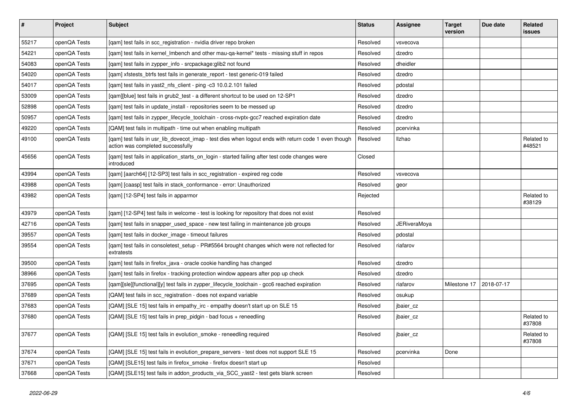| $\vert$ # | Project      | Subject                                                                                                                                   | <b>Status</b> | <b>Assignee</b>     | <b>Target</b><br>version | Due date   | Related<br><b>issues</b> |
|-----------|--------------|-------------------------------------------------------------------------------------------------------------------------------------------|---------------|---------------------|--------------------------|------------|--------------------------|
| 55217     | openQA Tests | [gam] test fails in scc registration - nvidia driver repo broken                                                                          | Resolved      | vsvecova            |                          |            |                          |
| 54221     | openQA Tests | [gam] test fails in kernel Imbench and other mau-ga-kernel* tests - missing stuff in repos                                                | Resolved      | dzedro              |                          |            |                          |
| 54083     | openQA Tests | [qam] test fails in zypper_info - srcpackage:glib2 not found                                                                              | Resolved      | dheidler            |                          |            |                          |
| 54020     | openQA Tests | [qam] xfstests_btrfs test fails in generate_report - test generic-019 failed                                                              | Resolved      | dzedro              |                          |            |                          |
| 54017     | openQA Tests | [qam] test fails in yast2_nfs_client - ping -c3 10.0.2.101 failed                                                                         | Resolved      | pdostal             |                          |            |                          |
| 53009     | openQA Tests | [qam][blue] test fails in grub2_test - a different shortcut to be used on 12-SP1                                                          | Resolved      | dzedro              |                          |            |                          |
| 52898     | openQA Tests | [gam] test fails in update install - repositories seem to be messed up                                                                    | Resolved      | dzedro              |                          |            |                          |
| 50957     | openQA Tests | [qam] test fails in zypper_lifecycle_toolchain - cross-nvptx-gcc7 reached expiration date                                                 | Resolved      | dzedro              |                          |            |                          |
| 49220     | openQA Tests | [QAM] test fails in multipath - time out when enabling multipath                                                                          | Resolved      | pcervinka           |                          |            |                          |
| 49100     | openQA Tests | [gam] test fails in usr_lib_dovecot_imap - test dies when logout ends with return code 1 even though<br>action was completed successfully | Resolved      | Ilzhao              |                          |            | Related to<br>#48521     |
| 45656     | openQA Tests | [qam] test fails in application_starts_on_login - started failing after test code changes were<br>introduced                              | Closed        |                     |                          |            |                          |
| 43994     | openQA Tests | [qam] [aarch64] [12-SP3] test fails in scc_registration - expired reg code                                                                | Resolved      | vsvecova            |                          |            |                          |
| 43988     | openQA Tests | [gam] [caasp] test fails in stack conformance - error: Unauthorized                                                                       | Resolved      | geor                |                          |            |                          |
| 43982     | openQA Tests | [qam] [12-SP4] test fails in apparmor                                                                                                     | Rejected      |                     |                          |            | Related to<br>#38129     |
| 43979     | openQA Tests | [gam] [12-SP4] test fails in welcome - test is looking for repository that does not exist                                                 | Resolved      |                     |                          |            |                          |
| 42716     | openQA Tests | [gam] test fails in snapper used space - new test failing in maintenance job groups                                                       | Resolved      | <b>JERiveraMoya</b> |                          |            |                          |
| 39557     | openQA Tests | [qam] test fails in docker_image - timeout failures                                                                                       | Resolved      | pdostal             |                          |            |                          |
| 39554     | openQA Tests | [qam] test fails in consoletest_setup - PR#5564 brought changes which were not reflected for<br>extratests                                | Resolved      | riafarov            |                          |            |                          |
| 39500     | openQA Tests | [qam] test fails in firefox_java - oracle cookie handling has changed                                                                     | Resolved      | dzedro              |                          |            |                          |
| 38966     | openQA Tests | [qam] test fails in firefox - tracking protection window appears after pop up check                                                       | Resolved      | dzedro              |                          |            |                          |
| 37695     | openQA Tests | [qam][sle][functional][y] test fails in zypper_lifecycle_toolchain - gcc6 reached expiration                                              | Resolved      | riafarov            | Milestone 17             | 2018-07-17 |                          |
| 37689     | openQA Tests | [QAM] test fails in scc registration - does not expand variable                                                                           | Resolved      | osukup              |                          |            |                          |
| 37683     | openQA Tests | [QAM] [SLE 15] test fails in empathy_irc - empathy doesn't start up on SLE 15                                                             | Resolved      | jbaier_cz           |                          |            |                          |
| 37680     | openQA Tests | [QAM] [SLE 15] test fails in prep_pidgin - bad focus + reneedling                                                                         | Resolved      | jbaier cz           |                          |            | Related to<br>#37808     |
| 37677     | openQA Tests | [QAM] [SLE 15] test fails in evolution_smoke - reneedling required                                                                        | Resolved      | jbaier_cz           |                          |            | Related to<br>#37808     |
| 37674     | openQA Tests | [QAM] [SLE 15] test fails in evolution_prepare_servers - test does not support SLE 15                                                     | Resolved      | pcervinka           | Done                     |            |                          |
| 37671     | openQA Tests | [QAM] [SLE15] test fails in firefox_smoke - firefox doesn't start up                                                                      | Resolved      |                     |                          |            |                          |
| 37668     | openQA Tests | [QAM] [SLE15] test fails in addon products via SCC yast2 - test gets blank screen                                                         | Resolved      |                     |                          |            |                          |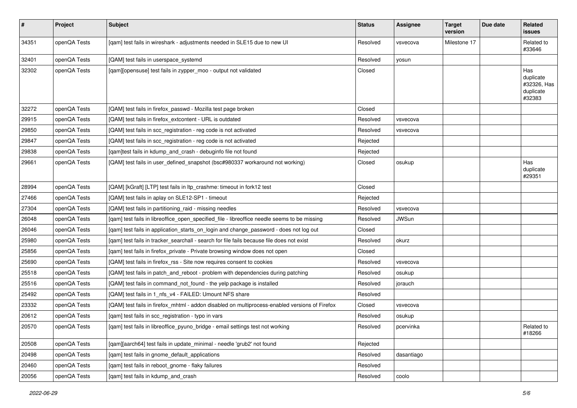| #     | Project      | <b>Subject</b>                                                                                 | <b>Status</b> | Assignee     | <b>Target</b><br>version | Due date | Related<br><b>issues</b>                               |
|-------|--------------|------------------------------------------------------------------------------------------------|---------------|--------------|--------------------------|----------|--------------------------------------------------------|
| 34351 | openQA Tests | [qam] test fails in wireshark - adjustments needed in SLE15 due to new UI                      | Resolved      | vsvecova     | Milestone 17             |          | Related to<br>#33646                                   |
| 32401 | openQA Tests | [QAM] test fails in userspace_systemd                                                          | Resolved      | yosun        |                          |          |                                                        |
| 32302 | openQA Tests | [qam][opensuse] test fails in zypper_moo - output not validated                                | Closed        |              |                          |          | Has<br>duplicate<br>#32326, Has<br>duplicate<br>#32383 |
| 32272 | openQA Tests | [QAM] test fails in firefox_passwd - Mozilla test page broken                                  | Closed        |              |                          |          |                                                        |
| 29915 | openQA Tests | [QAM] test fails in firefox_extcontent - URL is outdated                                       | Resolved      | vsvecova     |                          |          |                                                        |
| 29850 | openQA Tests | [QAM] test fails in scc_registration - reg code is not activated                               | Resolved      | vsvecova     |                          |          |                                                        |
| 29847 | openQA Tests | [QAM] test fails in scc_registration - reg code is not activated                               | Rejected      |              |                          |          |                                                        |
| 29838 | openQA Tests | [qam]test fails in kdump_and_crash - debuginfo file not found                                  | Rejected      |              |                          |          |                                                        |
| 29661 | openQA Tests | [QAM] test fails in user_defined_snapshot (bsc#980337 workaround not working)                  | Closed        | osukup       |                          |          | Has<br>duplicate<br>#29351                             |
| 28994 | openQA Tests | [QAM] [kGraft] [LTP] test fails in ltp_crashme: timeout in fork12 test                         | Closed        |              |                          |          |                                                        |
| 27466 | openQA Tests | [QAM] test fails in aplay on SLE12-SP1 - timeout                                               | Rejected      |              |                          |          |                                                        |
| 27304 | openQA Tests | [QAM] test fails in partitioning raid - missing needles                                        | Resolved      | vsvecova     |                          |          |                                                        |
| 26048 | openQA Tests | [qam] test fails in libreoffice_open_specified_file - libreoffice needle seems to be missing   | Resolved      | <b>JWSun</b> |                          |          |                                                        |
| 26046 | openQA Tests | [qam] test fails in application_starts_on_login and change_password - does not log out         | Closed        |              |                          |          |                                                        |
| 25980 | openQA Tests | [qam] test fails in tracker_searchall - search for file fails because file does not exist      | Resolved      | okurz        |                          |          |                                                        |
| 25856 | openQA Tests | [qam] test fails in firefox_private - Private browsing window does not open                    | Closed        |              |                          |          |                                                        |
| 25690 | openQA Tests | [QAM] test fails in firefox_rss - Site now requires consent to cookies                         | Resolved      | vsvecova     |                          |          |                                                        |
| 25518 | openQA Tests | [QAM] test fails in patch_and_reboot - problem with dependencies during patching               | Resolved      | osukup       |                          |          |                                                        |
| 25516 | openQA Tests | [QAM] test fails in command not found - the yelp package is installed                          | Resolved      | jorauch      |                          |          |                                                        |
| 25492 | openQA Tests | [QAM] test fails in 1_nfs_v4 - FAILED: Umount NFS share                                        | Resolved      |              |                          |          |                                                        |
| 23332 | openQA Tests | [QAM] test fails in firefox_mhtml - addon disabled on multiprocess-enabled versions of Firefox | Closed        | vsvecova     |                          |          |                                                        |
| 20612 | openQA Tests | [qam] test fails in scc_registration - typo in vars                                            | Resolved      | osukup       |                          |          |                                                        |
| 20570 | openQA Tests | [qam] test fails in libreoffice_pyuno_bridge - email settings test not working                 | Resolved      | pcervinka    |                          |          | Related to<br>#18266                                   |
| 20508 | openQA Tests | [qam][aarch64] test fails in update_minimal - needle 'grub2' not found                         | Rejected      |              |                          |          |                                                        |
| 20498 | openQA Tests | [qam] test fails in gnome_default_applications                                                 | Resolved      | dasantiago   |                          |          |                                                        |
| 20460 | openQA Tests | [qam] test fails in reboot_gnome - flaky failures                                              | Resolved      |              |                          |          |                                                        |
| 20056 | openQA Tests | [qam] test fails in kdump_and_crash                                                            | Resolved      | coolo        |                          |          |                                                        |